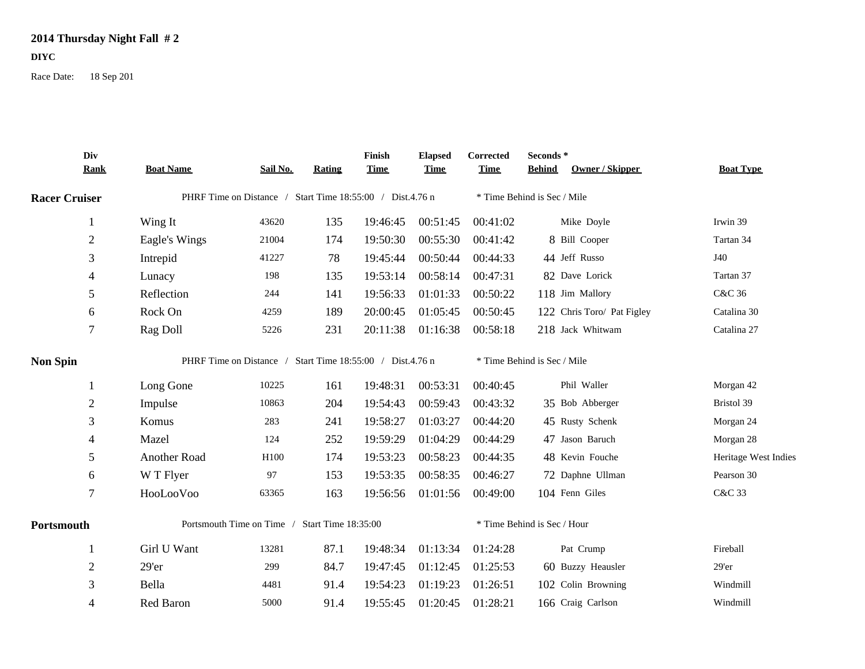## **2014 Thursday Night Fall # 2**

**DIYC**

Race Date: 18 Sep 201

|                      | Div<br><b>Rank</b> | <b>Boat Name</b>                                          | Sail No. | <b>Rating</b> | Finish<br><b>Time</b> | <b>Elapsed</b><br><b>Time</b> | Corrected<br><b>Time</b> | Seconds *<br><b>Owner / Skipper</b><br><b>Behind</b> | <b>Boat Type</b>     |
|----------------------|--------------------|-----------------------------------------------------------|----------|---------------|-----------------------|-------------------------------|--------------------------|------------------------------------------------------|----------------------|
| <b>Racer Cruiser</b> |                    | PHRF Time on Distance / Start Time 18:55:00 / Dist.4.76 n |          |               |                       |                               |                          | * Time Behind is Sec / Mile                          |                      |
|                      | $\mathbf{1}$       | Wing It                                                   | 43620    | 135           | 19:46:45              | 00:51:45                      | 00:41:02                 | Mike Doyle                                           | Irwin 39             |
|                      | $\mathbf{2}$       | Eagle's Wings                                             | 21004    | 174           | 19:50:30              | 00:55:30                      | 00:41:42                 | 8 Bill Cooper                                        | Tartan 34            |
|                      | 3                  | Intrepid                                                  | 41227    | 78            | 19:45:44              | 00:50:44                      | 00:44:33                 | 44 Jeff Russo                                        | J40                  |
|                      | 4                  | Lunacy                                                    | 198      | 135           | 19:53:14              | 00:58:14                      | 00:47:31                 | 82 Dave Lorick                                       | Tartan 37            |
|                      | 5                  | Reflection                                                | 244      | 141           | 19:56:33              | 01:01:33                      | 00:50:22                 | 118 Jim Mallory                                      | <b>C&amp;C 36</b>    |
|                      | 6                  | Rock On                                                   | 4259     | 189           | 20:00:45              | 01:05:45                      | 00:50:45                 | 122 Chris Toro/ Pat Figley                           | Catalina 30          |
|                      | 7                  | Rag Doll                                                  | 5226     | 231           | 20:11:38              | 01:16:38                      | 00:58:18                 | 218 Jack Whitwam                                     | Catalina 27          |
| <b>Non Spin</b>      |                    | PHRF Time on Distance / Start Time 18:55:00 / Dist.4.76 n |          |               |                       |                               |                          | * Time Behind is Sec / Mile                          |                      |
|                      | 1                  | Long Gone                                                 | 10225    | 161           | 19:48:31              | 00:53:31                      | 00:40:45                 | Phil Waller                                          | Morgan 42            |
|                      | $\mathbf{2}$       | Impulse                                                   | 10863    | 204           | 19:54:43              | 00:59:43                      | 00:43:32                 | 35 Bob Abberger                                      | Bristol 39           |
|                      | 3                  | Komus                                                     | 283      | 241           | 19:58:27              | 01:03:27                      | 00:44:20                 | 45 Rusty Schenk                                      | Morgan 24            |
|                      | 4                  | Mazel                                                     | 124      | 252           | 19:59:29              | 01:04:29                      | 00:44:29                 | 47 Jason Baruch                                      | Morgan 28            |
|                      | 5                  | Another Road                                              | H100     | 174           | 19:53:23              | 00:58:23                      | 00:44:35                 | 48 Kevin Fouche                                      | Heritage West Indies |
|                      | 6                  | W T Flyer                                                 | 97       | 153           | 19:53:35              | 00:58:35                      | 00:46:27                 | 72 Daphne Ullman                                     | Pearson 30           |
|                      | $\overline{7}$     | HooLooVoo                                                 | 63365    | 163           | 19:56:56              | 01:01:56                      | 00:49:00                 | 104 Fenn Giles                                       | C&C 33               |
| Portsmouth           |                    | Portsmouth Time on Time / Start Time 18:35:00             |          |               |                       |                               |                          | * Time Behind is Sec / Hour                          |                      |
|                      | 1                  | Girl U Want                                               | 13281    | 87.1          | 19:48:34              | 01:13:34                      | 01:24:28                 | Pat Crump                                            | Fireball             |
|                      | $\overline{2}$     | $29'$ er                                                  | 299      | 84.7          | 19:47:45              | 01:12:45                      | 01:25:53                 | 60 Buzzy Heausler                                    | $29'$ er             |
|                      | 3                  | Bella                                                     | 4481     | 91.4          | 19:54:23              | 01:19:23                      | 01:26:51                 | 102 Colin Browning                                   | Windmill             |
|                      | 4                  | Red Baron                                                 | 5000     | 91.4          | 19:55:45              | 01:20:45                      | 01:28:21                 | 166 Craig Carlson                                    | Windmill             |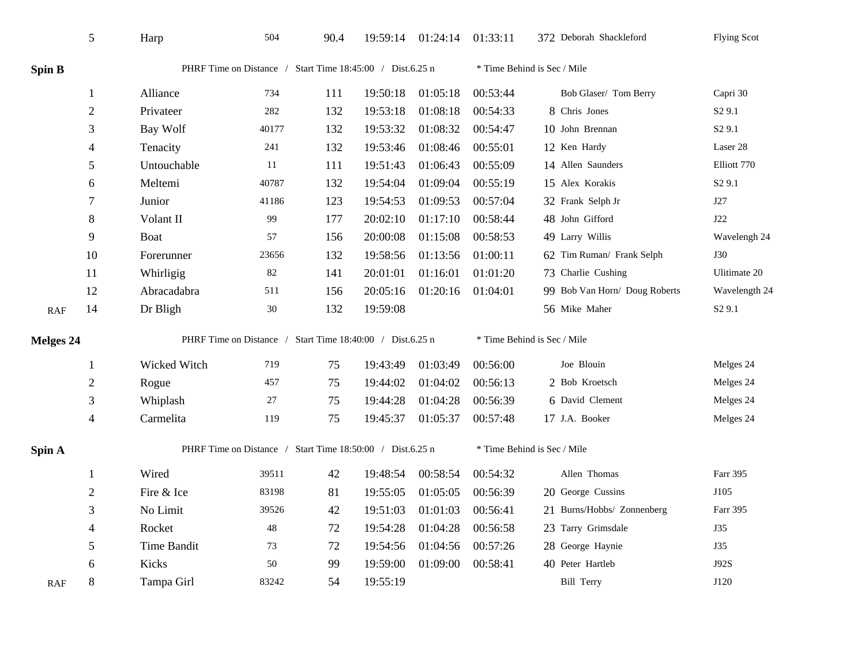|                  | 5                | Harp                                                      | 504                                                       | 90.4 |          | 19:59:14 01:24:14 | 01:33:11                    | 372 Deborah Shackleford       | <b>Flying Scot</b> |  |
|------------------|------------------|-----------------------------------------------------------|-----------------------------------------------------------|------|----------|-------------------|-----------------------------|-------------------------------|--------------------|--|
| Spin B           |                  |                                                           | PHRF Time on Distance / Start Time 18:45:00 / Dist.6.25 n |      |          |                   |                             | * Time Behind is Sec / Mile   |                    |  |
|                  | $\mathbf{1}$     | Alliance                                                  | 734                                                       | 111  | 19:50:18 | 01:05:18          | 00:53:44                    | Bob Glaser/ Tom Berry         | Capri 30           |  |
|                  | $\overline{2}$   | Privateer                                                 | 282                                                       | 132  | 19:53:18 | 01:08:18          | 00:54:33                    | 8 Chris Jones                 | S <sub>2</sub> 9.1 |  |
|                  | 3                | Bay Wolf                                                  | 40177                                                     | 132  | 19:53:32 | 01:08:32          | 00:54:47                    | 10 John Brennan               | S <sub>2</sub> 9.1 |  |
|                  | 4                | Tenacity                                                  | 241                                                       | 132  | 19:53:46 | 01:08:46          | 00:55:01                    | 12 Ken Hardy                  | Laser 28           |  |
|                  | 5                | Untouchable                                               | 11                                                        | 111  | 19:51:43 | 01:06:43          | 00:55:09                    | 14 Allen Saunders             | Elliott 770        |  |
|                  | 6                | Meltemi                                                   | 40787                                                     | 132  | 19:54:04 | 01:09:04          | 00:55:19                    | 15 Alex Korakis               | S <sub>2</sub> 9.1 |  |
|                  | $\boldsymbol{7}$ | Junior                                                    | 41186                                                     | 123  | 19:54:53 | 01:09:53          | 00:57:04                    | 32 Frank Selph Jr             | J27                |  |
|                  | 8                | Volant II                                                 | 99                                                        | 177  | 20:02:10 | 01:17:10          | 00:58:44                    | 48 John Gifford               | J22                |  |
|                  | 9                | Boat                                                      | 57                                                        | 156  | 20:00:08 | 01:15:08          | 00:58:53                    | 49 Larry Willis               | Wavelengh 24       |  |
|                  | 10               | Forerunner                                                | 23656                                                     | 132  | 19:58:56 | 01:13:56          | 01:00:11                    | 62 Tim Ruman/ Frank Selph     | <b>J30</b>         |  |
|                  | 11               | Whirligig                                                 | 82                                                        | 141  | 20:01:01 | 01:16:01          | 01:01:20                    | 73 Charlie Cushing            | Ulitimate 20       |  |
|                  | 12               | Abracadabra                                               | 511                                                       | 156  | 20:05:16 | 01:20:16          | 01:04:01                    | 99 Bob Van Horn/ Doug Roberts | Wavelength 24      |  |
| <b>RAF</b>       | 14               | Dr Bligh                                                  | $30\,$                                                    | 132  | 19:59:08 |                   |                             | 56 Mike Maher                 | S <sub>2</sub> 9.1 |  |
| <b>Melges 24</b> |                  | PHRF Time on Distance / Start Time 18:40:00 / Dist.6.25 n |                                                           |      |          |                   | * Time Behind is Sec / Mile |                               |                    |  |
|                  | 1                | Wicked Witch                                              | 719                                                       | 75   | 19:43:49 | 01:03:49          | 00:56:00                    | Joe Blouin                    | Melges 24          |  |
|                  | $\overline{c}$   | Rogue                                                     | 457                                                       | 75   | 19:44:02 | 01:04:02          | 00:56:13                    | 2 Bob Kroetsch                | Melges 24          |  |
|                  | 3                | Whiplash                                                  | 27                                                        | 75   | 19:44:28 | 01:04:28          | 00:56:39                    | 6 David Clement               | Melges 24          |  |
|                  | $\overline{4}$   | Carmelita                                                 | 119                                                       | 75   | 19:45:37 | 01:05:37          | 00:57:48                    | 17 J.A. Booker                | Melges 24          |  |
| Spin A           |                  | PHRF Time on Distance / Start Time 18:50:00 / Dist.6.25 n |                                                           |      |          |                   | * Time Behind is Sec / Mile |                               |                    |  |
|                  | 1                | Wired                                                     | 39511                                                     | 42   | 19:48:54 | 00:58:54          | 00:54:32                    | Allen Thomas                  | Farr 395           |  |
|                  | $\sqrt{2}$       | Fire & Ice                                                | 83198                                                     | 81   | 19:55:05 | 01:05:05          | 00:56:39                    | 20 George Cussins             | J105               |  |
|                  | 3                | No Limit                                                  | 39526                                                     | 42   | 19:51:03 | 01:01:03          | 00:56:41                    | 21 Burns/Hobbs/ Zonnenberg    | Farr 395           |  |
|                  | 4                | Rocket                                                    | 48                                                        | 72   | 19:54:28 | 01:04:28          | 00:56:58                    | 23 Tarry Grimsdale            | <b>J35</b>         |  |
|                  | 5                | Time Bandit                                               | 73                                                        | 72   | 19:54:56 | 01:04:56          | 00:57:26                    | 28 George Haynie              | J35                |  |
|                  | 6                | Kicks                                                     | 50                                                        | 99   | 19:59:00 | 01:09:00          | 00:58:41                    | 40 Peter Hartleb              | <b>J92S</b>        |  |
| <b>RAF</b>       | 8                | Tampa Girl                                                | 83242                                                     | 54   | 19:55:19 |                   |                             | <b>Bill Terry</b>             | J120               |  |